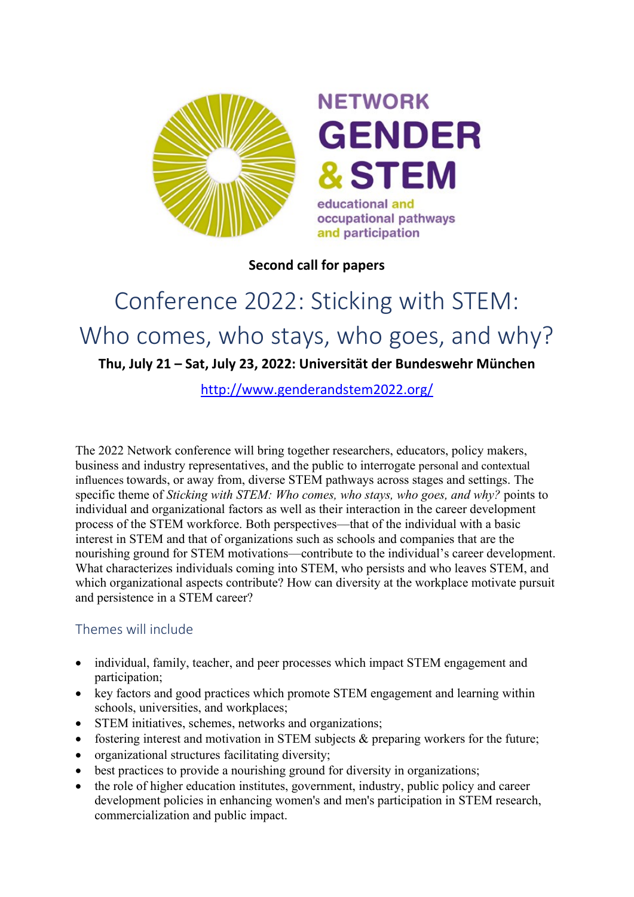

# **NETWORK GENDER &STEM** educational and occupational pathways

and participation

**Second call for papers**

# Conference 2022: Sticking with STEM: Who comes, who stays, who goes, and why? **Thu, July 21 – Sat, July 23, 2022: Universität der Bundeswehr München**

<http://www.genderandstem2022.org/>

The 2022 Network conference will bring together researchers, educators, policy makers, business and industry representatives, and the public to interrogate personal and contextual influences towards, or away from, diverse STEM pathways across stages and settings. The specific theme of *Sticking with STEM: Who comes, who stays, who goes, and why?* points to individual and organizational factors as well as their interaction in the career development process of the STEM workforce. Both perspectives—that of the individual with a basic interest in STEM and that of organizations such as schools and companies that are the nourishing ground for STEM motivations—contribute to the individual's career development. What characterizes individuals coming into STEM, who persists and who leaves STEM, and which organizational aspects contribute? How can diversity at the workplace motivate pursuit and persistence in a STEM career?

# Themes will include

- individual, family, teacher, and peer processes which impact STEM engagement and participation;
- key factors and good practices which promote STEM engagement and learning within schools, universities, and workplaces;
- STEM initiatives, schemes, networks and organizations;
- fostering interest and motivation in STEM subjects & preparing workers for the future;
- organizational structures facilitating diversity;
- best practices to provide a nourishing ground for diversity in organizations;
- the role of higher education institutes, government, industry, public policy and career development policies in enhancing women's and men's participation in STEM research, commercialization and public impact.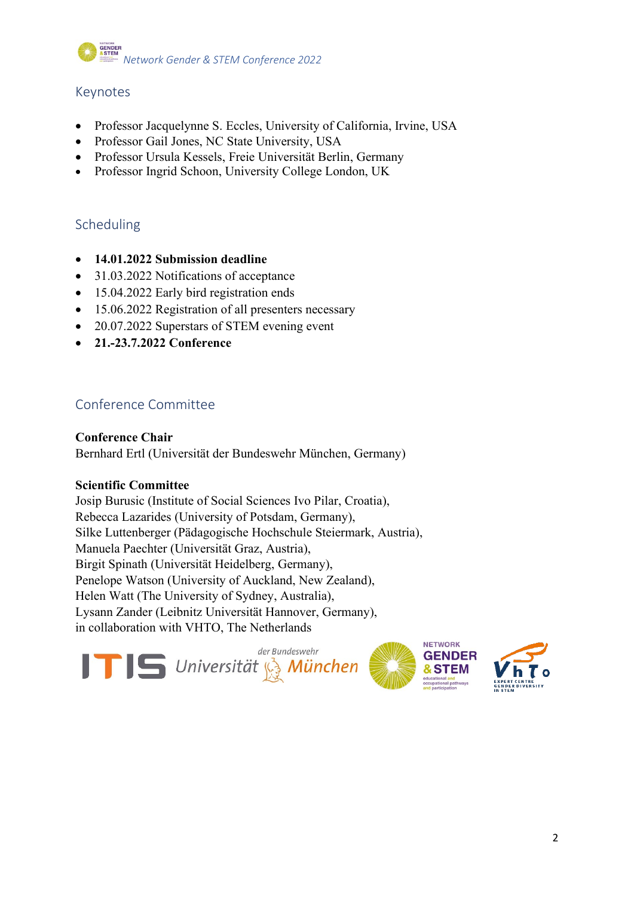

## Keynotes

- Professor Jacquelynne S. Eccles, University of California, Irvine, USA
- Professor Gail Jones, NC State University, USA
- Professor Ursula Kessels, Freie Universität Berlin, Germany
- Professor Ingrid Schoon, University College London, UK

## Scheduling

- **14.01.2022 Submission deadline**
- 31.03.2022 Notifications of acceptance
- 15.04.2022 Early bird registration ends
- 15.06.2022 Registration of all presenters necessary
- 20.07.2022 Superstars of STEM evening event
- **21.-23.7.2022 Conference**

# Conference Committee

#### **Conference Chair**

Bernhard Ertl (Universität der Bundeswehr München, Germany)

#### **Scientific Committee**

Josip Burusic (Institute of Social Sciences Ivo Pilar, Croatia), [Rebecca Lazarides](https://www.uni-potsdam.de/schulpaedagogik/lazarides.html) (University of Potsdam, Germany), Silke Luttenberger (Pädagogische Hochschule Steiermark, Austria), Manuela Paechter (Universität Graz, Austria), Birgit Spinath (Universität Heidelberg, Germany), Penelope Watson (University of Auckland, New Zealand), [Helen Watt](http://sydney.edu.au/education_social_work/about/staff/profiles/helen.watt.php) (The University of Sydney, Australia), Lysann Zander (Leibnitz Universität Hannover, Germany), in collaboration with [VHTO, The Netherlands](http://www.genderandstem.com/)

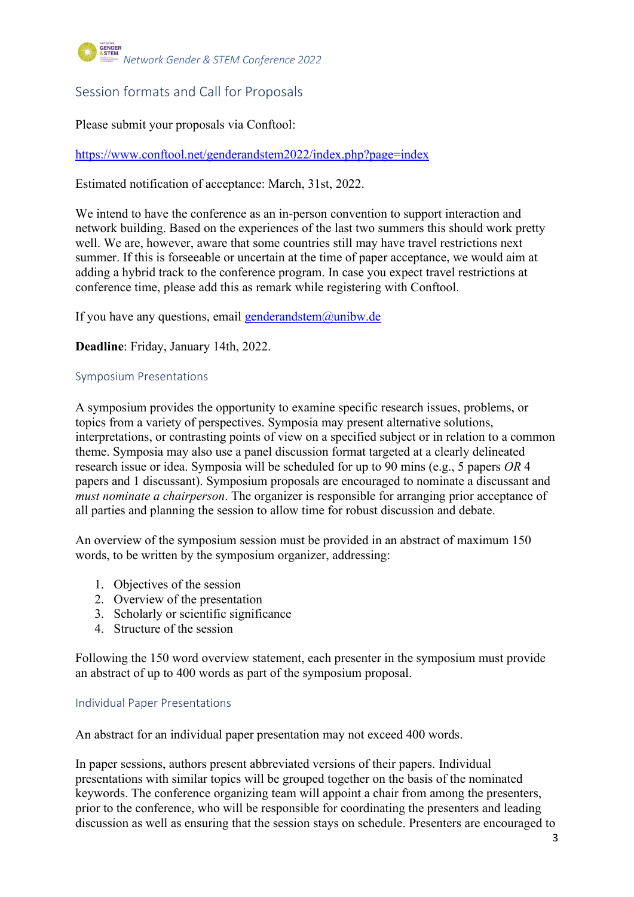

# Session formats and Call for Proposals

Please submit your proposals via Conftool:

<https://www.conftool.net/genderandstem2022/index.php?page=index>

Estimated notification of acceptance: March, 31st, 2022.

We intend to have the conference as an in-person convention to support interaction and network building. Based on the experiences of the last two summers this should work pretty well. We are, however, aware that some countries still may have travel restrictions next summer. If this is forseeable or uncertain at the time of paper acceptance, we would aim at adding a hybrid track to the conference program. In case you expect travel restrictions at conference time, please add this as remark while registering with Conftool.

If you have any questions, email [genderandstem@unibw.de](mailto:genderandstem@unibw.de)

**Deadline**: Friday, January 14th, 2022.

#### Symposium Presentations

A symposium provides the opportunity to examine specific research issues, problems, or topics from a variety of perspectives. Symposia may present alternative solutions, interpretations, or contrasting points of view on a specified subject or in relation to a common theme. Symposia may also use a panel discussion format targeted at a clearly delineated research issue or idea. Symposia will be scheduled for up to 90 mins (e.g., 5 papers *OR* 4 papers and 1 discussant). Symposium proposals are encouraged to nominate a discussant and *must nominate a chairperson*. The organizer is responsible for arranging prior acceptance of all parties and planning the session to allow time for robust discussion and debate.

An overview of the symposium session must be provided in an abstract of maximum 150 words, to be written by the symposium organizer, addressing:

- 1. Objectives of the session
- 2. Overview of the presentation
- 3. Scholarly or scientific significance
- 4. Structure of the session

Following the 150 word overview statement, each presenter in the symposium must provide an abstract of up to 400 words as part of the symposium proposal.

#### Individual Paper Presentations

An abstract for an individual paper presentation may not exceed 400 words.

In paper sessions, authors present abbreviated versions of their papers. Individual presentations with similar topics will be grouped together on the basis of the nominated keywords. The conference organizing team will appoint a chair from among the presenters, prior to the conference, who will be responsible for coordinating the presenters and leading discussion as well as ensuring that the session stays on schedule. Presenters are encouraged to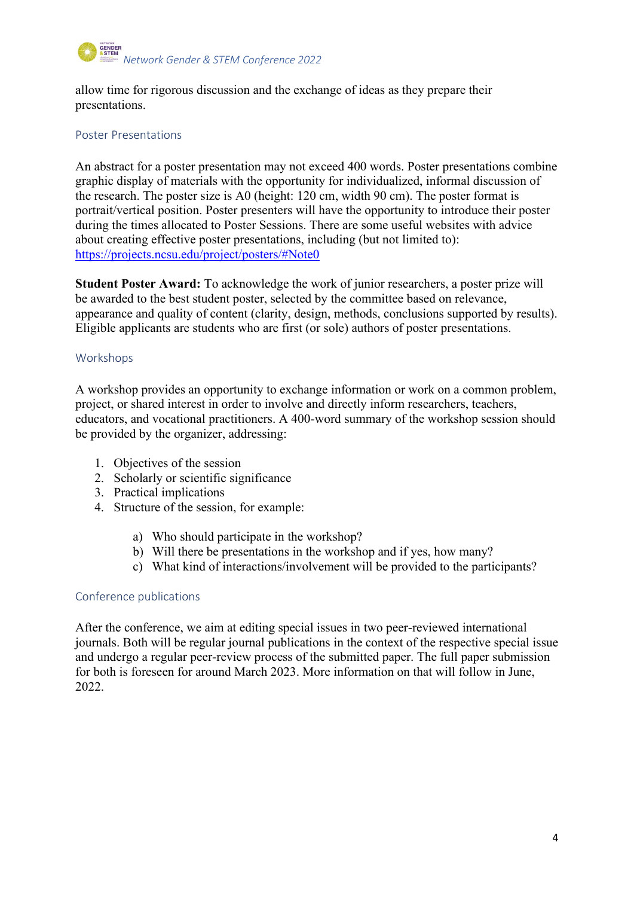

allow time for rigorous discussion and the exchange of ideas as they prepare their presentations.

#### Poster Presentations

An abstract for a poster presentation may not exceed 400 words. Poster presentations combine graphic display of materials with the opportunity for individualized, informal discussion of the research. The poster size is A0 (height: 120 cm, width 90 cm). The poster format is portrait/vertical position. Poster presenters will have the opportunity to introduce their poster during the times allocated to Poster Sessions. There are some useful websites with advice about creating effective poster presentations, including (but not limited to): <https://projects.ncsu.edu/project/posters/#Note0>

**Student Poster Award:** To acknowledge the work of junior researchers, a poster prize will be awarded to the best student poster, selected by the committee based on relevance, appearance and quality of content (clarity, design, methods, conclusions supported by results). Eligible applicants are students who are first (or sole) authors of poster presentations.

#### Workshops

A workshop provides an opportunity to exchange information or work on a common problem, project, or shared interest in order to involve and directly inform researchers, teachers, educators, and vocational practitioners. A 400-word summary of the workshop session should be provided by the organizer, addressing:

- 1. Objectives of the session
- 2. Scholarly or scientific significance
- 3. Practical implications
- 4. Structure of the session, for example:
	- a) Who should participate in the workshop?
	- b) Will there be presentations in the workshop and if yes, how many?
	- c) What kind of interactions/involvement will be provided to the participants?

#### Conference publications

After the conference, we aim at editing special issues in two peer-reviewed international journals. Both will be regular journal publications in the context of the respective special issue and undergo a regular peer-review process of the submitted paper. The full paper submission for both is foreseen for around March 2023. More information on that will follow in June, 2022.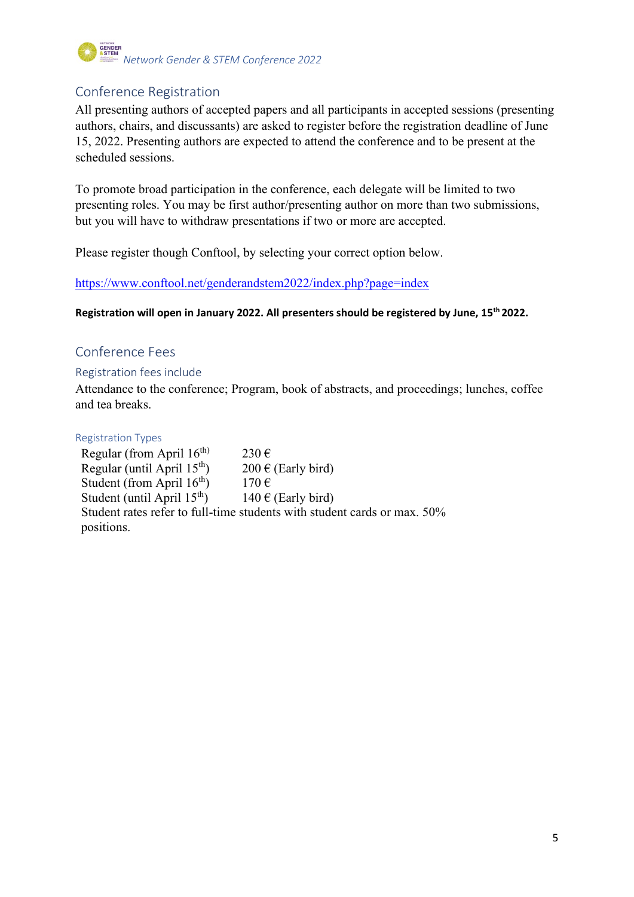# *Network Gender & STEM Conference 2022*

# Conference Registration

All presenting authors of accepted papers and all participants in accepted sessions (presenting authors, chairs, and discussants) are asked to register before the registration deadline of June 15, 2022. Presenting authors are expected to attend the conference and to be present at the scheduled sessions.

To promote broad participation in the conference, each delegate will be limited to two presenting roles. You may be first author/presenting author on more than two submissions, but you will have to withdraw presentations if two or more are accepted.

Please register though Conftool, by selecting your correct option below.

<https://www.conftool.net/genderandstem2022/index.php?page=index>

**Registration will open in January 2022. All presenters should be registered by June, 15th 2022.**

# Conference Fees

#### Registration fees include

Attendance to the conference; Program, book of abstracts, and proceedings; lunches, coffee and tea breaks.

#### Registration Types

Regular (from April  $16<sup>th</sup>$ ) 230 € Regular (until April 15<sup>th</sup>) 200 € (Early bird) Student (from April  $16^{th}$ ) 170 € Student (until April 15<sup>th</sup>) 140 € (Early bird) Student rates refer to full-time students with student cards or max. 50% positions.